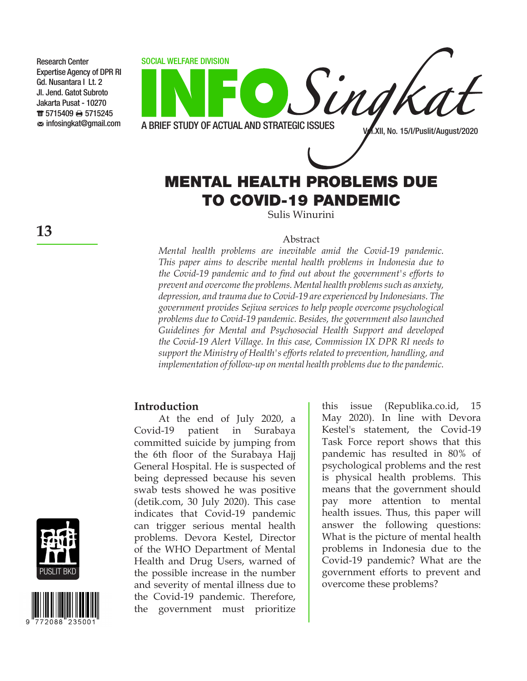

# MENTAL HEALTH PROBLEMS DUE TO COVID-19 PANDEMIC

Sulis Winurini

#### Abstract

*Mental health problems are inevitable amid the Covid-19 pandemic. This paper aims to describe mental health problems in Indonesia due to the Covid-19 pandemic and to find out about the government's efforts to prevent and overcome the problems. Mental health problems such as anxiety, depression, and trauma due to Covid-19 are experienced by Indonesians. The government provides Sejiwa services to help people overcome psychological problems due to Covid-19 pandemic. Besides, the government also launched Guidelines for Mental and Psychosocial Health Support and developed the Covid-19 Alert Village. In this case, Commission IX DPR RI needs to support the Ministry of Health's efforts related to prevention, handling, and implementation of follow-up on mental health problems due to the pandemic.*

#### **Introduction**

At the end of July 2020, a Covid-19 patient in Surabaya committed suicide by jumping from the 6th floor of the Surabaya Hajj General Hospital. He is suspected of being depressed because his seven swab tests showed he was positive (detik.com, 30 July 2020). This case indicates that Covid-19 pandemic can trigger serious mental health problems. Devora Kestel, Director of the WHO Department of Mental Health and Drug Users, warned of the possible increase in the number and severity of mental illness due to the Covid-19 pandemic. Therefore, the government must prioritize

this issue (Republika.co.id, 15 May 2020). In line with Devora Kestel's statement, the Covid-19 Task Force report shows that this pandemic has resulted in 80% of psychological problems and the rest is physical health problems. This means that the government should pay more attention to mental health issues. Thus, this paper will answer the following questions: What is the picture of mental health problems in Indonesia due to the Covid-19 pandemic? What are the government efforts to prevent and overcome these problems?





Research Center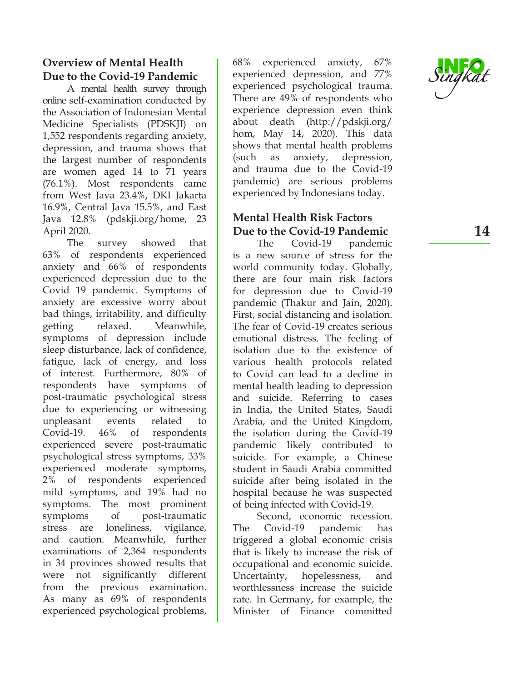## **Overview of Mental Health Due to the Covid-19 Pandemic**

A mental health survey through online self-examination conducted by the Association of Indonesian Mental Medicine Specialists (PDSKJI) on 1,552 respondents regarding anxiety, depression, and trauma shows that the largest number of respondents are women aged 14 to 71 years (76.1%). Most respondents came from West Java 23.4%, DKI Jakarta 16.9%, Central Java 15.5%, and East Java 12.8% (pdskji.org/home, 23 April 2020.

The survey showed that 63% of respondents experienced anxiety and 66% of respondents experienced depression due to the Covid 19 pandemic. Symptoms of anxiety are excessive worry about bad things, irritability, and difficulty getting relaxed. Meanwhile, symptoms of depression include sleep disturbance, lack of confidence, fatigue, lack of energy, and loss of interest. Furthermore, 80% of respondents have symptoms of post-traumatic psychological stress due to experiencing or witnessing unpleasant events related to Covid-19. 46% of respondents experienced severe post-traumatic psychological stress symptoms, 33% experienced moderate symptoms, 2% of respondents experienced mild symptoms, and 19% had no symptoms. The most prominent symptoms of post-traumatic stress are loneliness, vigilance, and caution. Meanwhile, further examinations of 2,364 respondents in 34 provinces showed results that were not significantly different from the previous examination. As many as 69% of respondents experienced psychological problems,

68% experienced anxiety, 67% experienced depression, and 77% experienced psychological trauma. There are 49% of respondents who experience depression even think about death (http://pdskji.org/ hom, May 14, 2020). This data shows that mental health problems (such as anxiety, depression, and trauma due to the Covid-19 pandemic) are serious problems experienced by Indonesians today.

### **Mental Health Risk Factors Due to the Covid-19 Pandemic**

The Covid-19 pandemic is a new source of stress for the world community today. Globally, there are four main risk factors for depression due to Covid-19 pandemic (Thakur and Jain, 2020). First, social distancing and isolation. The fear of Covid-19 creates serious emotional distress. The feeling of isolation due to the existence of various health protocols related to Covid can lead to a decline in mental health leading to depression and suicide. Referring to cases in India, the United States, Saudi Arabia, and the United Kingdom, the isolation during the Covid-19 pandemic likely contributed to suicide. For example, a Chinese student in Saudi Arabia committed suicide after being isolated in the hospital because he was suspected of being infected with Covid-19.

Second, economic recession. The Covid-19 pandemic has triggered a global economic crisis that is likely to increase the risk of occupational and economic suicide. Uncertainty, hopelessness, and worthlessness increase the suicide rate. In Germany, for example, the Minister of Finance committed

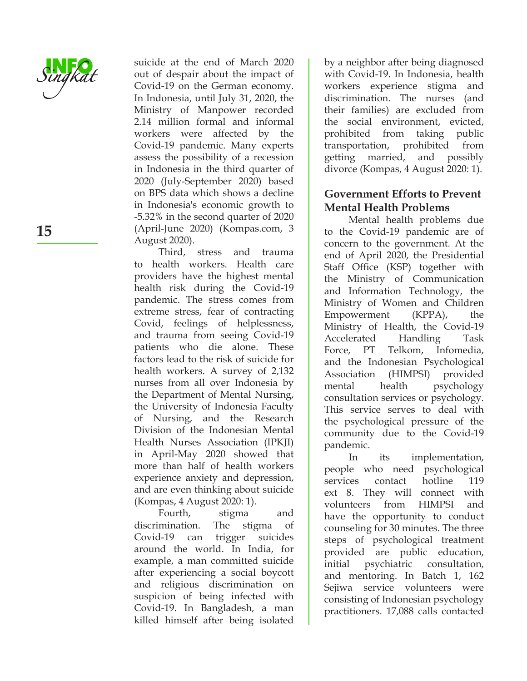

suicide at the end of March 2020 out of despair about the impact of Covid-19 on the German economy. In Indonesia, until July 31, 2020, the Ministry of Manpower recorded 2.14 million formal and informal workers were affected by the Covid-19 pandemic. Many experts assess the possibility of a recession in Indonesia in the third quarter of 2020 (July-September 2020) based on BPS data which shows a decline in Indonesia's economic growth to -5.32% in the second quarter of 2020 (April-June 2020) (Kompas.com, 3 August 2020).

Third, stress and trauma to health workers. Health care providers have the highest mental health risk during the Covid-19 pandemic. The stress comes from extreme stress, fear of contracting Covid, feelings of helplessness, and trauma from seeing Covid-19 patients who die alone. These factors lead to the risk of suicide for health workers. A survey of 2,132 nurses from all over Indonesia by the Department of Mental Nursing, the University of Indonesia Faculty of Nursing, and the Research Division of the Indonesian Mental Health Nurses Association (IPKJI) in April-May 2020 showed that more than half of health workers experience anxiety and depression, and are even thinking about suicide (Kompas, 4 August 2020: 1).

Fourth, stigma and discrimination. The stigma of Covid-19 can trigger suicides around the world. In India, for example, a man committed suicide after experiencing a social boycott and religious discrimination on suspicion of being infected with Covid-19. In Bangladesh, a man killed himself after being isolated

by a neighbor after being diagnosed with Covid-19. In Indonesia, health workers experience stigma and discrimination. The nurses (and their families) are excluded from the social environment, evicted, prohibited from taking public transportation, prohibited from getting married, and possibly divorce (Kompas, 4 August 2020: 1).

#### **Government Efforts to Prevent Mental Health Problems**

Mental health problems due to the Covid-19 pandemic are of concern to the government. At the end of April 2020, the Presidential Staff Office (KSP) together with the Ministry of Communication and Information Technology, the Ministry of Women and Children Empowerment (KPPA), the Ministry of Health, the Covid-19 Accelerated Handling Task Force, PT Telkom, Infomedia, and the Indonesian Psychological Association (HIMPSI) provided mental health psychology consultation services or psychology. This service serves to deal with the psychological pressure of the community due to the Covid-19 pandemic.

In its implementation, people who need psychological services contact hotline 119 ext 8. They will connect with volunteers from HIMPSI and have the opportunity to conduct counseling for 30 minutes. The three steps of psychological treatment provided are public education, initial psychiatric consultation, and mentoring. In Batch 1, 162 Sejiwa service volunteers were consisting of Indonesian psychology practitioners. 17,088 calls contacted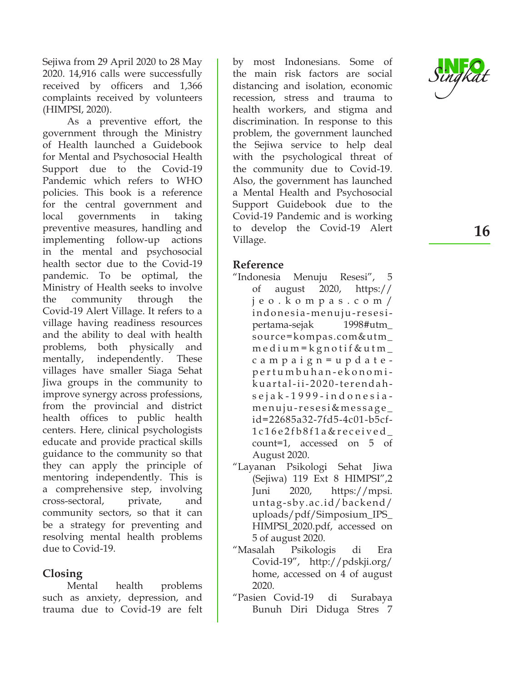Sejiwa from 29 April 2020 to 28 May 2020. 14,916 calls were successfully received by officers and 1,366 complaints received by volunteers (HIMPSI, 2020).

As a preventive effort, the government through the Ministry of Health launched a Guidebook for Mental and Psychosocial Health Support due to the Covid-19 Pandemic which refers to WHO policies. This book is a reference for the central government and local governments in taking preventive measures, handling and implementing follow-up actions in the mental and psychosocial health sector due to the Covid-19 pandemic. To be optimal, the Ministry of Health seeks to involve the community through the Covid-19 Alert Village. It refers to a village having readiness resources and the ability to deal with health problems, both physically and mentally, independently. These villages have smaller Siaga Sehat Jiwa groups in the community to improve synergy across professions, from the provincial and district health offices to public health centers. Here, clinical psychologists educate and provide practical skills guidance to the community so that they can apply the principle of mentoring independently. This is a comprehensive step, involving cross-sectoral, private, and community sectors, so that it can be a strategy for preventing and resolving mental health problems due to Covid-19.

### **Closing**

Mental health problems such as anxiety, depression, and trauma due to Covid-19 are felt by most Indonesians. Some of the main risk factors are social distancing and isolation, economic recession, stress and trauma to health workers, and stigma and discrimination. In response to this problem, the government launched the Sejiwa service to help deal with the psychological threat of the community due to Covid-19. Also, the government has launched a Mental Health and Psychosocial Support Guidebook due to the Covid-19 Pandemic and is working to develop the Covid-19 Alert Village.

### **Reference**

- "Indonesia Menuju Resesi", 5 of august 2020, https:// j e o . k o m p a s . c o m / indonesia-menuju-resesipertama-sejak 1998#utm\_ source=kompas.com&utm\_  $m$  e d i u m = k g n o t i f & u t m  $$ campaign=updatepertumbuhan-ekonomikuartal-ii-2020-terendahsejak-1999-indonesiamenuju-resesi&message\_ id=22685a32-7fd5-4c01-b5cf-1c16e2fb8f1a&received\_ count=1, accessed on 5 of August 2020.
- "Layanan Psikologi Sehat Jiwa (Sejiwa) 119 Ext 8 HIMPSI",2 Juni 2020, https://mpsi. untag-sby.ac.id/backend/ uploads/pdf/Simposium\_IPS\_ HIMPSI\_2020.pdf, accessed on 5 of august 2020.
- "Masalah Psikologis di Era Covid-19", http://pdskji.org/ home, accessed on 4 of august 2020.
- "Pasien Covid-19 di Surabaya Bunuh Diri Diduga Stres 7



**16**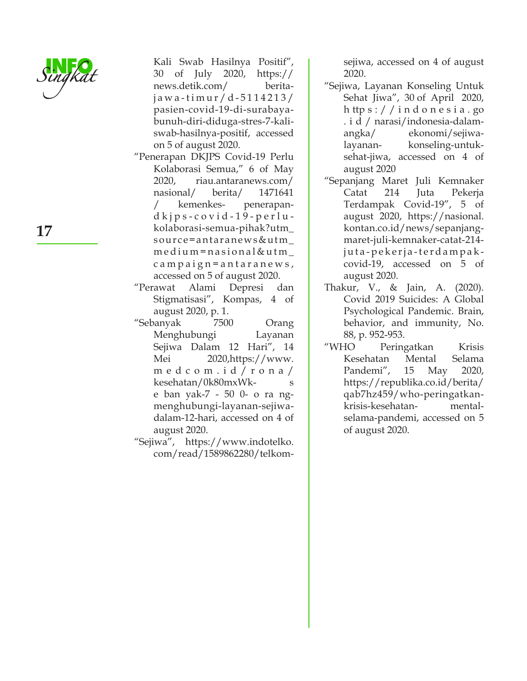

- Kali Swab Hasilnya Positif", 30 of July 2020, https:// news.detik.com/ beritaj a w a - t i m u r / d - 5 1 1 4 2 1 3 / pasien-covid-19-di-surabayabunuh-diri-diduga-stres-7-kaliswab-hasilnya-positif, accessed on 5 of august 2020.
- "Penerapan DKJPS Covid-19 Perlu Kolaborasi Semua," 6 of May 2020, riau.antaranews.com/ nasional/ berita/ 1471641 / kemenkes- penerapandkjps-covid-19-perlukolaborasi-semua-pihak?utm\_ source=antaranews&utm\_ medium=nasional&utm\_ c a m p a i g n = a n t a r a n e w s, accessed on 5 of august 2020.
- "Perawat Alami Depresi dan Stigmatisasi", Kompas, 4 of august 2020, p. 1.
- "Sebanyak 7500 Orang Menghubungi Layanan Sejiwa Dalam 12 Hari", 14 Mei 2020,https://www. m e d c o m . i d / r o n a / kesehatan/0k80mxWke ban yak-7 - 50 0- o ra ngmenghubungi-layanan-sejiwadalam-12-hari, accessed on 4 of august 2020.
- "Sejiwa", https://www.indotelko. com/read/1589862280/telkom-

sejiwa, accessed on 4 of august 2020.

- "Sejiwa, Layanan Konseling Untuk Sehat Jiwa", 30 of April 2020, h ttp s : / / i n d o n e s i a . go . i d / narasi/indonesia-dalamangka/ ekonomi/sejiwalayanan- konseling-untuksehat-jiwa, accessed on 4 of august 2020
- "Sepanjang Maret Juli Kemnaker Catat 214 Juta Pekerja Terdampak Covid-19", 5 of august 2020, https://nasional. kontan.co.id/news/sepanjangmaret-juli-kemnaker-catat-214 juta-pekerja-terdampakcovid-19, accessed on 5 of august 2020.
- Thakur, V., & Jain, A. (2020). Covid 2019 Suicides: A Global Psychological Pandemic. Brain, behavior, and immunity, No. 88, p. 952-953.
- "WHO Peringatkan Krisis Kesehatan Mental Selama Pandemi", 15 May 2020, https://republika.co.id/berita/ qab7hz459/who-peringatkankrisis-kesehatan- mentalselama-pandemi, accessed on 5 of august 2020.